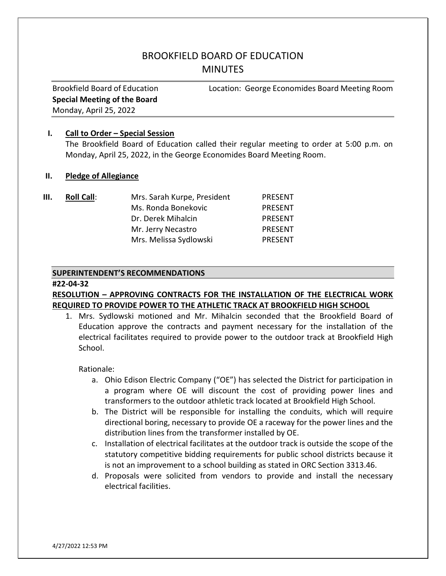# BROOKFIELD BOARD OF EDUCATION **MINUTES**

Special Meeting of the Board Monday, April 25, 2022

Brookfield Board of Education Location: George Economides Board Meeting Room

## I. Call to Order – Special Session

The Brookfield Board of Education called their regular meeting to order at 5:00 p.m. on Monday, April 25, 2022, in the George Economides Board Meeting Room.

#### II. Pledge of Allegiance

| Ш. | <b>Roll Call:</b> | Mrs. Sarah Kurpe, President | <b>PRESENT</b> |
|----|-------------------|-----------------------------|----------------|
|    |                   | Ms. Ronda Bonekovic         | <b>PRESENT</b> |
|    |                   | Dr. Derek Mihalcin          | <b>PRESENT</b> |
|    |                   | Mr. Jerry Necastro          | <b>PRESENT</b> |
|    |                   | Mrs. Melissa Sydlowski      | <b>PRESENT</b> |

#### SUPERINTENDENT'S RECOMMENDATIONS

#### #22-04-32

# RESOLUTION – APPROVING CONTRACTS FOR THE INSTALLATION OF THE ELECTRICAL WORK REQUIRED TO PROVIDE POWER TO THE ATHLETIC TRACK AT BROOKFIELD HIGH SCHOOL

1. Mrs. Sydlowski motioned and Mr. Mihalcin seconded that the Brookfield Board of Education approve the contracts and payment necessary for the installation of the electrical facilitates required to provide power to the outdoor track at Brookfield High School.

Rationale:

- a. Ohio Edison Electric Company ("OE") has selected the District for participation in a program where OE will discount the cost of providing power lines and transformers to the outdoor athletic track located at Brookfield High School.
- b. The District will be responsible for installing the conduits, which will require directional boring, necessary to provide OE a raceway for the power lines and the distribution lines from the transformer installed by OE.
- c. Installation of electrical facilitates at the outdoor track is outside the scope of the statutory competitive bidding requirements for public school districts because it is not an improvement to a school building as stated in ORC Section 3313.46.
- d. Proposals were solicited from vendors to provide and install the necessary electrical facilities.